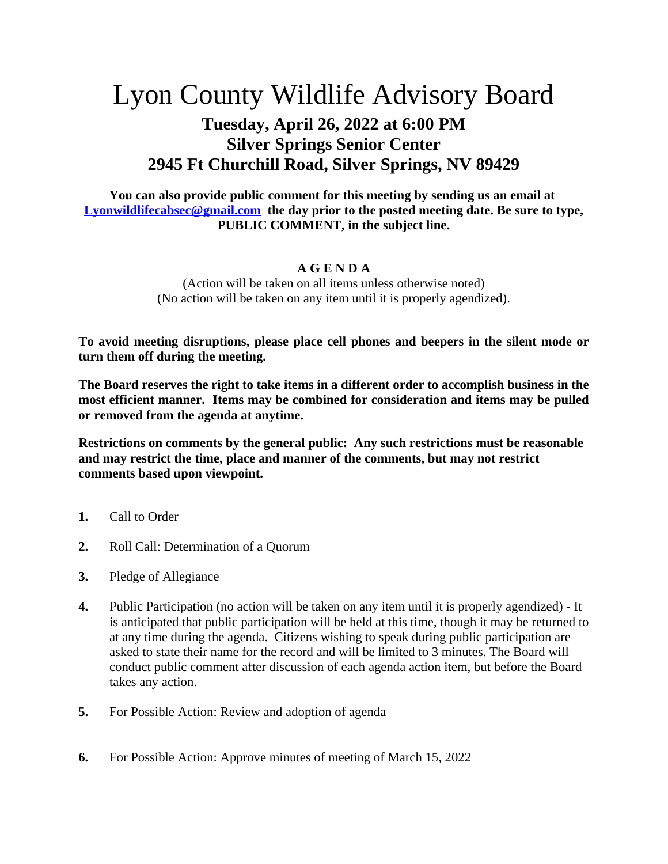## Lyon County Wildlife Advisory Board

## **Tuesday, April 26, 2022 at 6:00 PM Silver Springs Senior Center 2945 Ft Churchill Road, Silver Springs, NV 89429**

**You can also provide public comment for this meeting by sending us an email at [Lyonwildlifecabsec@gmail.com](mailto:Lyonwildlifecabsec@gmail.com) the day prior to the posted meeting date. Be sure to type, PUBLIC COMMENT, in the subject line.**

## **A G E N D A**

(Action will be taken on all items unless otherwise noted) (No action will be taken on any item until it is properly agendized).

**To avoid meeting disruptions, please place cell phones and beepers in the silent mode or turn them off during the meeting.**

**The Board reserves the right to take items in a different order to accomplish business in the most efficient manner. Items may be combined for consideration and items may be pulled or removed from the agenda at anytime.**

**Restrictions on comments by the general public: Any such restrictions must be reasonable and may restrict the time, place and manner of the comments, but may not restrict comments based upon viewpoint.**

- **1.** Call to Order
- **2.** Roll Call: Determination of a Quorum
- **3.** Pledge of Allegiance
- **4.** Public Participation (no action will be taken on any item until it is properly agendized) It is anticipated that public participation will be held at this time, though it may be returned to at any time during the agenda. Citizens wishing to speak during public participation are asked to state their name for the record and will be limited to 3 minutes. The Board will conduct public comment after discussion of each agenda action item, but before the Board takes any action.
- **5.** For Possible Action: Review and adoption of agenda
- **6.** For Possible Action: Approve minutes of meeting of March 15, 2022